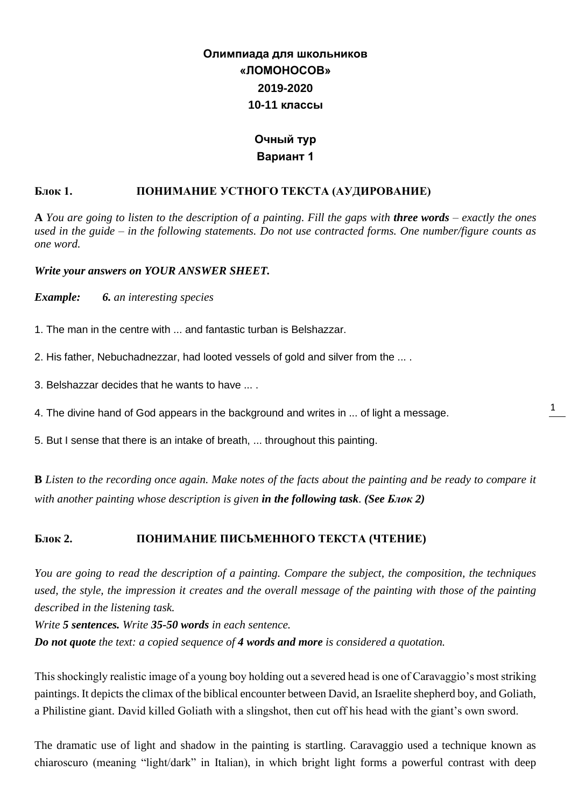# **Олимпиада для школьников «ЛОМОНОСОВ» 2019-2020 10-11 классы**

# **Очный тур Вариант 1**

## **Блок 1. ПОНИМАНИЕ УСТНОГО ТЕКСТА (АУДИРОВАНИЕ)**

**A** *You are going to listen to the description of a painting. Fill the gaps with three words – exactly the ones used in the guide – in the following statements. Do not use contracted forms. One number/figure counts as one word.*

#### *Write your answers on YOUR ANSWER SHEET.*

*Example: 6. an interesting species*

1. The man in the centre with ... and fantastic turban is Belshazzar.

2. His father, Nebuchadnezzar, had looted vessels of gold and silver from the ... .

3. Belshazzar decides that he wants to have ... .

4. The divine hand of God appears in the background and writes in ... of light a message.

5. But I sense that there is an intake of breath, ... throughout this painting.

**B** *Listen to the recording once again. Make notes of the facts about the painting and be ready to compare it with another painting whose description is given in the following task. (See Блок 2)*

#### **Блок 2. ПОНИМАНИЕ ПИСЬМЕННОГО ТЕКСТА (ЧТЕНИЕ)**

*You are going to read the description of a painting. Compare the subject, the composition, the techniques used, the style, the impression it creates and the overall message of the painting with those of the painting described in the listening task. Write 5 sentences. Write 35-50 words in each sentence.*

*Do not quote the text: a copied sequence of 4 words and more is considered a quotation.*

This shockingly realistic image of a young boy holding out a severed head is one of Caravaggio's most striking paintings. It depicts the climax of the biblical encounter between David, an Israelite shepherd boy, and Goliath, a Philistine giant. David killed Goliath with a slingshot, then cut off his head with the giant's own sword.

The dramatic use of light and shadow in the painting is startling. Caravaggio used a technique known as chiaroscuro (meaning "light/dark" in Italian), in which bright light forms a powerful contrast with deep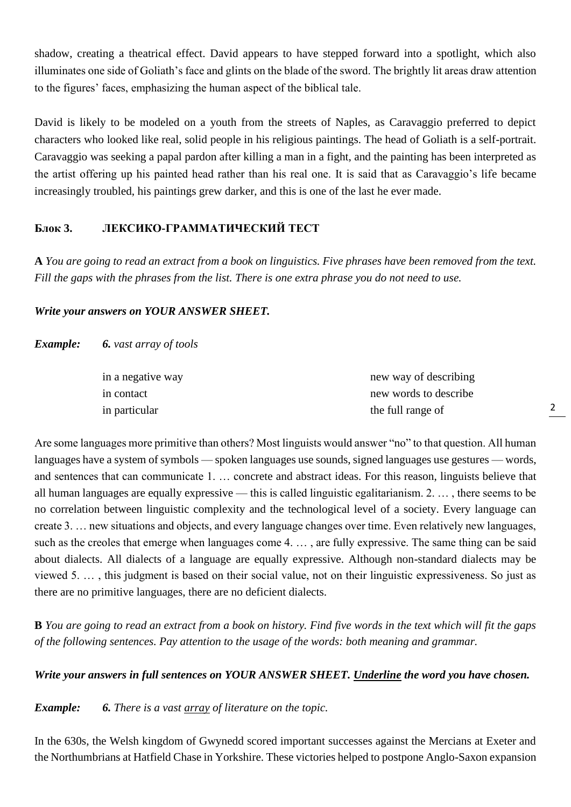shadow, creating a theatrical effect. David appears to have stepped forward into a spotlight, which also illuminates one side of Goliath's face and glints on the blade of the sword. The brightly lit areas draw attention to the figures' faces, emphasizing the human aspect of the biblical tale.

David is likely to be modeled on a youth from the streets of Naples, as Caravaggio preferred to depict characters who looked like real, solid people in his religious paintings. The head of Goliath is a self-portrait. Caravaggio was seeking a papal pardon after killing a man in a fight, and the painting has been interpreted as the artist offering up his painted head rather than his real one. It is said that as Caravaggio's life became increasingly troubled, his paintings grew darker, and this is one of the last he ever made.

## **Блок 3. ЛЕКСИКО-ГРАММАТИЧЕСКИЙ ТЕСТ**

**A** *You are going to read an extract from a book on linguistics. Five phrases have been removed from the text. Fill the gaps with the phrases from the list. There is one extra phrase you do not need to use.*

### *Write your answers on YOUR ANSWER SHEET.*

*Example: 6. vast array of tools*

| in a negative way | new way of describing |
|-------------------|-----------------------|
| in contact        | new words to describe |
| in particular     | the full range of     |

Are some languages more primitive than others? Most linguists would answer "no" to that question. All human languages have a system of symbols — spoken languages use sounds, signed languages use gestures — words, and sentences that can communicate 1. … concrete and abstract ideas. For this reason, linguists believe that all human languages are equally expressive — this is called linguistic egalitarianism. 2. … , there seems to be no correlation between linguistic complexity and the technological level of a society. Every language can create 3. … new situations and objects, and every language changes over time. Even relatively new languages, such as the creoles that emerge when languages come 4. … , are fully expressive. The same thing can be said about dialects. All dialects of a language are equally expressive. Although non-standard dialects may be viewed 5. … , this judgment is based on their social value, not on their linguistic expressiveness. So just as there are no primitive languages, there are no deficient dialects.

**B** *You are going to read an extract from a book on history. Find five words in the text which will fit the gaps of the following sentences. Pay attention to the usage of the words: both meaning and grammar.* 

## *Write your answers in full sentences on YOUR ANSWER SHEET. Underline the word you have chosen.*

*Example: 6. There is a vast array of literature on the topic.*

In the 630s, the Welsh kingdom of Gwynedd scored important successes against the Mercians at Exeter and the Northumbrians at Hatfield Chase in Yorkshire. These victories helped to postpone Anglo-Saxon expansion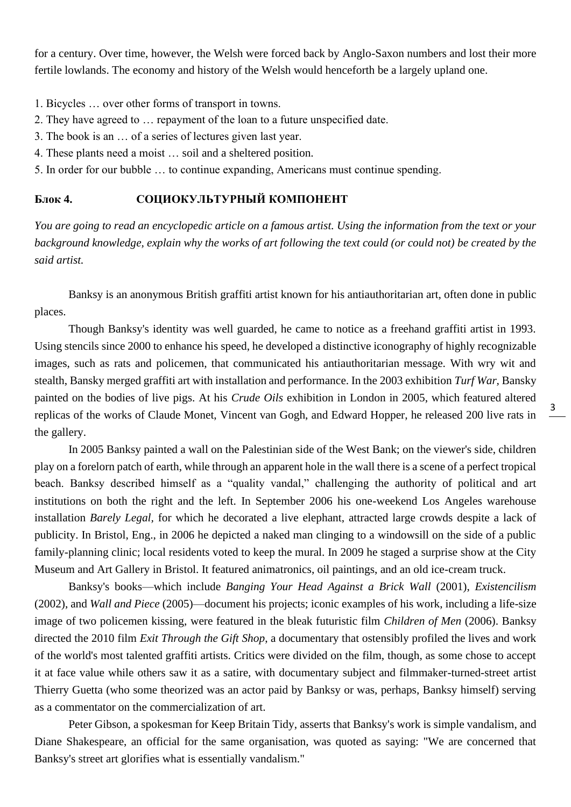for a century. Over time, however, the Welsh were forced back by Anglo-Saxon numbers and lost their more fertile lowlands. The economy and history of the Welsh would henceforth be a largely upland one.

- 1. Bicycles … over other forms of transport in towns.
- 2. They have agreed to … repayment of the loan to a future unspecified date.
- 3. The book is an … of a series of lectures given last year.
- 4. These plants need a moist … soil and a sheltered position.
- 5. In order for our bubble … to continue expanding, Americans must continue spending.

#### **Блок 4. СОЦИОКУЛЬТУРНЫЙ КОМПОНЕНТ**

*You are going to read an encyclopedic article on a famous artist. Using the information from the text or your background knowledge, explain why the works of art following the text could (or could not) be created by the said artist.* 

Banksy is an anonymous British graffiti artist known for his antiauthoritarian art, often done in public places.

Though Banksy's identity was well guarded, he came to notice as a freehand graffiti artist in 1993. Using stencils since 2000 to enhance his speed, he developed a distinctive iconography of highly recognizable images, such as rats and policemen, that communicated his antiauthoritarian message. With wry wit and stealth, Bansky merged graffiti art with installation and performance. In the 2003 exhibition *Turf War,* Bansky painted on the bodies of live pigs. At his *Crude Oils* exhibition in London in 2005, which featured altered replicas of the works of Claude Monet, Vincent van Gogh, and Edward Hopper, he released 200 live rats in the gallery.

In 2005 Banksy painted a wall on the Palestinian side of the West Bank; on the viewer's side, children play on a forelorn patch of earth, while through an apparent hole in the wall there is a scene of a perfect tropical beach. Banksy described himself as a "quality vandal," challenging the authority of political and art institutions on both the right and the left. In September 2006 his one-weekend Los Angeles warehouse installation *Barely Legal,* for which he decorated a live elephant, attracted large crowds despite a lack of publicity. In Bristol, Eng., in 2006 he depicted a naked man clinging to a windowsill on the side of a public family-planning clinic; local residents voted to keep the mural. In 2009 he staged a surprise show at the City Museum and Art Gallery in Bristol. It featured animatronics, oil paintings, and an old ice-cream truck.

Banksy's books—which include *Banging Your Head Against a Brick Wall* (2001), *Existencilism* (2002), and *Wall and Piece* (2005)—document his projects; iconic examples of his work, including a life-size image of two policemen kissing, were featured in the bleak futuristic film *Children of Men* (2006). Banksy directed the 2010 film *Exit Through the Gift Shop*, a documentary that ostensibly profiled the lives and work of the world's most talented graffiti artists. Critics were divided on the film, though, as some chose to accept it at face value while others saw it as a satire, with documentary subject and filmmaker-turned-street artist Thierry Guetta (who some theorized was an actor paid by Banksy or was, perhaps, Banksy himself) serving as a commentator on the commercialization of art.

Peter Gibson, a spokesman for Keep Britain Tidy, asserts that Banksy's work is simple vandalism, and Diane Shakespeare, an official for the same organisation, was quoted as saying: "We are concerned that Banksy's street art glorifies what is essentially vandalism."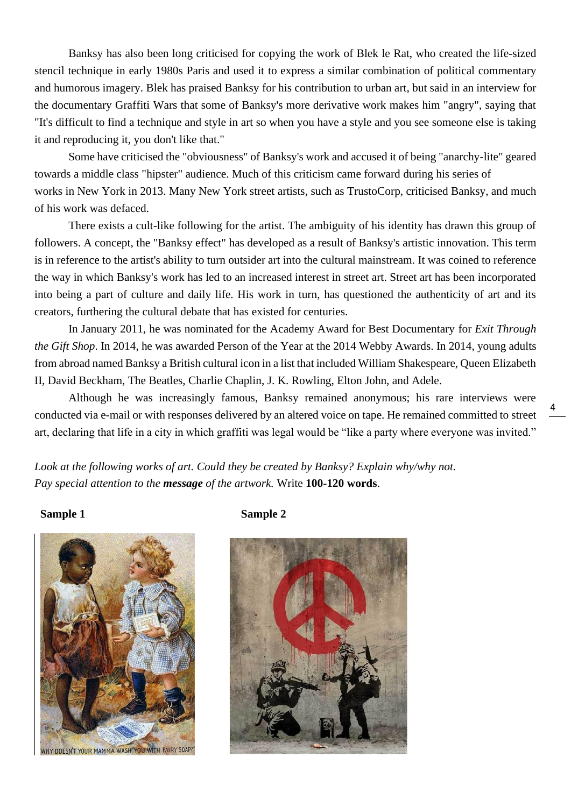Banksy has also been long criticised for copying the work of Blek le Rat, who created the life-sized stencil technique in early 1980s Paris and used it to express a similar combination of political commentary and humorous imagery. Blek has praised Banksy for his contribution to urban art, but said in an interview for the documentary Graffiti Wars that some of Banksy's more derivative work makes him "angry", saying that "It's difficult to find a technique and style in art so when you have a style and you see someone else is taking it and reproducing it, you don't like that."

Some have criticised the "obviousness" of Banksy's work and accused it of being "anarchy-lite" geared towards a middle class "hipster" audience. Much of this criticism came forward during his series of works in New York in 2013. Many New York street artists, such as TrustoCorp, criticised Banksy, and much of his work was defaced.

There exists a cult-like following for the artist. The ambiguity of his identity has drawn this group of followers. A concept, the "Banksy effect" has developed as a result of Banksy's artistic innovation. This term is in reference to the artist's ability to turn outsider art into the cultural mainstream. It was coined to reference the way in which Banksy's work has led to an increased interest in street art. Street art has been incorporated into being a part of culture and daily life. His work in turn, has questioned the authenticity of art and its creators, furthering the cultural debate that has existed for centuries.

In January 2011, he was nominated for the Academy Award for Best Documentary for *Exit Through the Gift Shop*. In 2014, he was awarded Person of the Year at the 2014 Webby Awards. In 2014, young adults from abroad named Banksy a British cultural icon in a list that included William Shakespeare, Queen Elizabeth II, David Beckham, The Beatles, Charlie Chaplin, J. K. Rowling, Elton John, and Adele.

Although he was increasingly famous, Banksy remained anonymous; his rare interviews were conducted via e-mail or with responses delivered by an altered voice on tape. He remained committed to street art, declaring that life in a city in which graffiti was legal would be "like a party where everyone was invited."

*Look at the following works of art. Could they be created by Banksy? Explain why/why not. Pay special attention to the message of the artwork.* Write **100-120 words**.

#### **Sample 1** Sample 2



WHY DOESN'T YOUR MAMMA WASH YOU WITH FAIRY SOAP?"

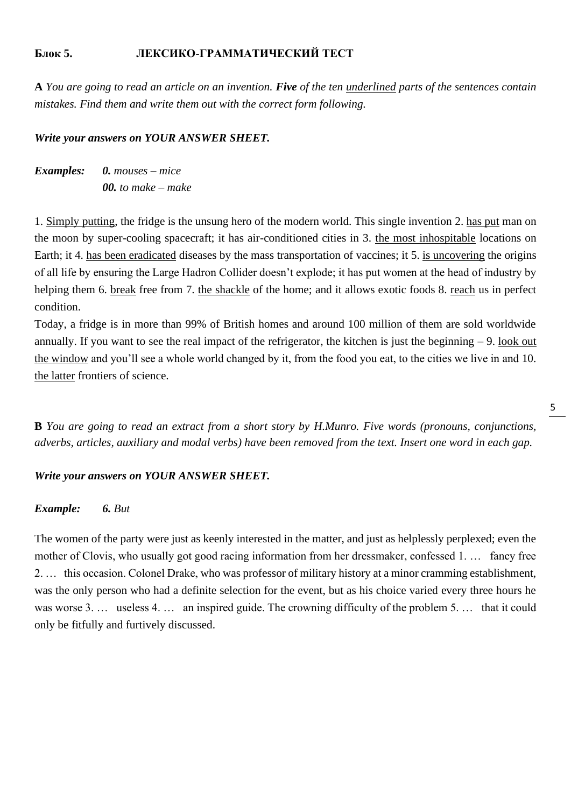#### **Блок 5. ЛЕКСИКО-ГРАММАТИЧЕСКИЙ ТЕСТ**

**A** *You are going to read an article on an invention. Five of the ten underlined parts of the sentences contain mistakes. Find them and write them out with the correct form following.*

#### *Write your answers on YOUR ANSWER SHEET.*

*Examples: 0. mouses – mice 00. to make – make* 

1. Simply putting, the fridge is the unsung hero of the modern world. This single invention 2. has put man on the moon by super-cooling spacecraft; it has air-conditioned cities in 3. the most inhospitable locations on Earth; it 4. has been eradicated diseases by the mass transportation of vaccines; it 5. is uncovering the origins of all life by ensuring the Large Hadron Collider doesn't explode; it has put women at the head of industry by helping them 6. break free from 7. the shackle of the home; and it allows exotic foods 8. reach us in perfect condition.

Today, a fridge is in more than 99% of British homes and around 100 million of them are sold worldwide annually. If you want to see the real impact of the refrigerator, the kitchen is just the beginning  $-9$ . look out the window and you'll see a whole world changed by it, from the food you eat, to the cities we live in and 10. the latter frontiers of science.

**B** *You are going to read an extract from a short story by H.Munro. Five words (pronouns, conjunctions, adverbs, articles, auxiliary and modal verbs) have been removed from the text. Insert one word in each gap.*

#### *Write your answers on YOUR ANSWER SHEET.*

#### *Example: 6. But*

The women of the party were just as keenly interested in the matter, and just as helplessly perplexed; even the mother of Clovis, who usually got good racing information from her dressmaker, confessed 1. … fancy free 2. … this occasion. Colonel Drake, who was professor of military history at a minor cramming establishment, was the only person who had a definite selection for the event, but as his choice varied every three hours he was worse 3. … useless 4. … an inspired guide. The crowning difficulty of the problem 5. … that it could only be fitfully and furtively discussed.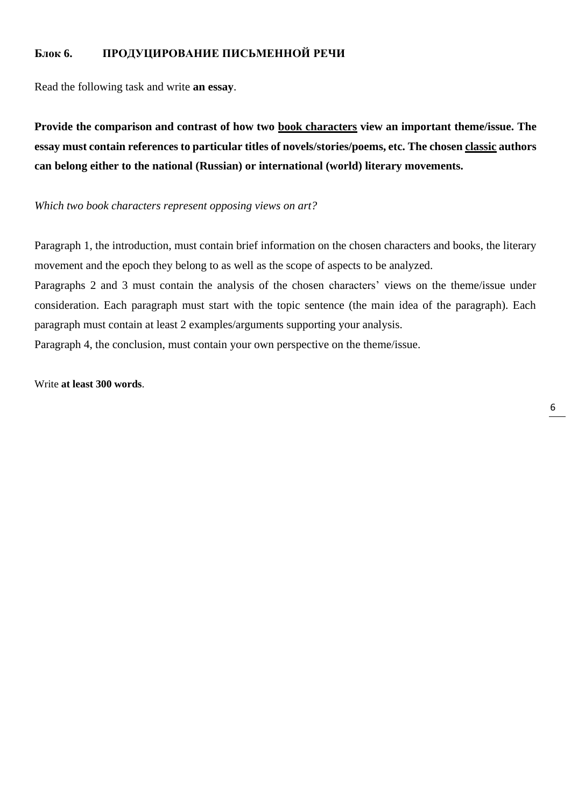## **Блок 6. ПРОДУЦИРОВАНИЕ ПИСЬМЕННОЙ РЕЧИ**

Read the following task and write **an essay**.

**Provide the comparison and contrast of how two book characters view an important theme/issue. The essay must contain references to particular titles of novels/stories/poems, etc. The chosen classic authors can belong either to the national (Russian) or international (world) literary movements.**

*Which two book characters represent opposing views on art?*

Paragraph 1, the introduction, must contain brief information on the chosen characters and books, the literary movement and the epoch they belong to as well as the scope of aspects to be analyzed.

Paragraphs 2 and 3 must contain the analysis of the chosen characters' views on the theme/issue under consideration. Each paragraph must start with the topic sentence (the main idea of the paragraph). Each paragraph must contain at least 2 examples/arguments supporting your analysis.

Paragraph 4, the conclusion, must contain your own perspective on the theme/issue.

Write **at least 300 words**.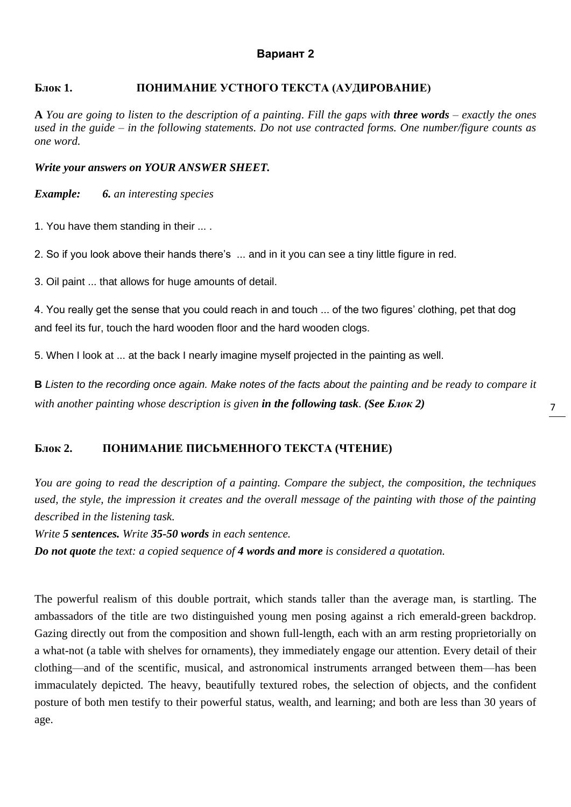## **Вариант 2**

## **Блок 1. ПОНИМАНИЕ УСТНОГО ТЕКСТА (АУДИРОВАНИЕ)**

**A** *You are going to listen to the description of a painting. Fill the gaps with three words – exactly the ones used in the guide – in the following statements. Do not use contracted forms. One number/figure counts as one word.*

#### *Write your answers on YOUR ANSWER SHEET.*

*Example: 6. an interesting species*

1. You have them standing in their ... .

2. So if you look above their hands there's ... and in it you can see a tiny little figure in red.

3. Oil paint ... that allows for huge amounts of detail.

4. You really get the sense that you could reach in and touch ... of the two figures' clothing, pet that dog and feel its fur, touch the hard wooden floor and the hard wooden clogs.

5. When I look at ... at the back I nearly imagine myself projected in the painting as well.

**B** *Listen to the recording once again. Make notes of the facts about the painting and be ready to compare it with another painting whose description is given in the following task. (See Блок 2)*

## **Блок 2. ПОНИМАНИЕ ПИСЬМЕННОГО ТЕКСТА (ЧТЕНИЕ)**

*You are going to read the description of a painting. Compare the subject, the composition, the techniques used, the style, the impression it creates and the overall message of the painting with those of the painting described in the listening task.*

*Write 5 sentences. Write 35-50 words in each sentence.*

*Do not quote the text: a copied sequence of 4 words and more is considered a quotation.*

The powerful realism of this double portrait, which stands taller than the average man, is startling. The ambassadors of the title are two distinguished young men posing against a rich emerald-green backdrop. Gazing directly out from the composition and shown full-length, each with an arm resting proprietorially on a what-not (a table with shelves for ornaments), they immediately engage our attention. Every detail of their clothing—and of the scentific, musical, and astronomical instruments arranged between them—has been immaculately depicted. The heavy, beautifully textured robes, the selection of objects, and the confident posture of both men testify to their powerful status, wealth, and learning; and both are less than 30 years of age.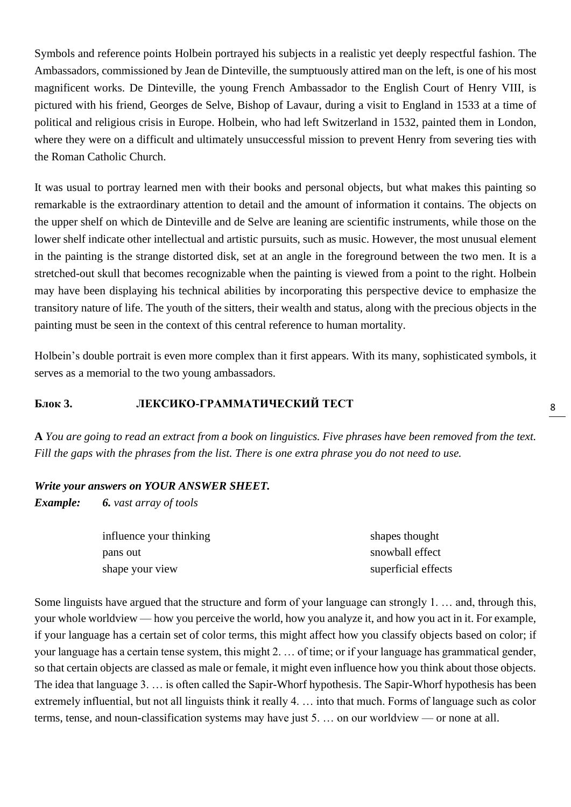Symbols and reference points Holbein portrayed his subjects in a realistic yet deeply respectful fashion. The Ambassadors, commissioned by Jean de Dinteville, the sumptuously attired man on the left, is one of his most magnificent works. De Dinteville, the young French Ambassador to the English Court of Henry VIII, is pictured with his friend, Georges de Selve, Bishop of Lavaur, during a visit to England in 1533 at a time of political and religious crisis in Europe. Holbein, who had left Switzerland in 1532, painted them in London, where they were on a difficult and ultimately unsuccessful mission to prevent Henry from severing ties with the Roman Catholic Church.

It was usual to portray learned men with their books and personal objects, but what makes this painting so remarkable is the extraordinary attention to detail and the amount of information it contains. The objects on the upper shelf on which de Dinteville and de Selve are leaning are scientific instruments, while those on the lower shelf indicate other intellectual and artistic pursuits, such as music. However, the most unusual element in the painting is the strange distorted disk, set at an angle in the foreground between the two men. It is a stretched-out skull that becomes recognizable when the painting is viewed from a point to the right. Holbein may have been displaying his technical abilities by incorporating this perspective device to emphasize the transitory nature of life. The youth of the sitters, their wealth and status, along with the precious objects in the painting must be seen in the context of this central reference to human mortality.

Holbein's double portrait is even more complex than it first appears. With its many, sophisticated symbols, it serves as a memorial to the two young ambassadors.

## **Блок 3. ЛЕКСИКО-ГРАММАТИЧЕСКИЙ ТЕСТ**

**A** *You are going to read an extract from a book on linguistics. Five phrases have been removed from the text. Fill the gaps with the phrases from the list. There is one extra phrase you do not need to use.*

#### *Write your answers on YOUR ANSWER SHEET.*

*Example: 6. vast array of tools*

| influence your thinking | shapes thought      |
|-------------------------|---------------------|
| pans out                | snowball effect     |
| shape your view         | superficial effects |

Some linguists have argued that the structure and form of your language can strongly 1. … and, through this, your whole worldview — how you perceive the world, how you analyze it, and how you act in it. For example, if your language has a certain set of color terms, this might affect how you classify objects based on color; if your language has a certain tense system, this might 2. … of time; or if your language has grammatical gender, so that certain objects are classed as male or female, it might even influence how you think about those objects. The idea that language 3. … is often called the Sapir-Whorf hypothesis. The Sapir-Whorf hypothesis has been extremely influential, but not all linguists think it really 4. … into that much. Forms of language such as color terms, tense, and noun-classification systems may have just 5. … on our worldview — or none at all.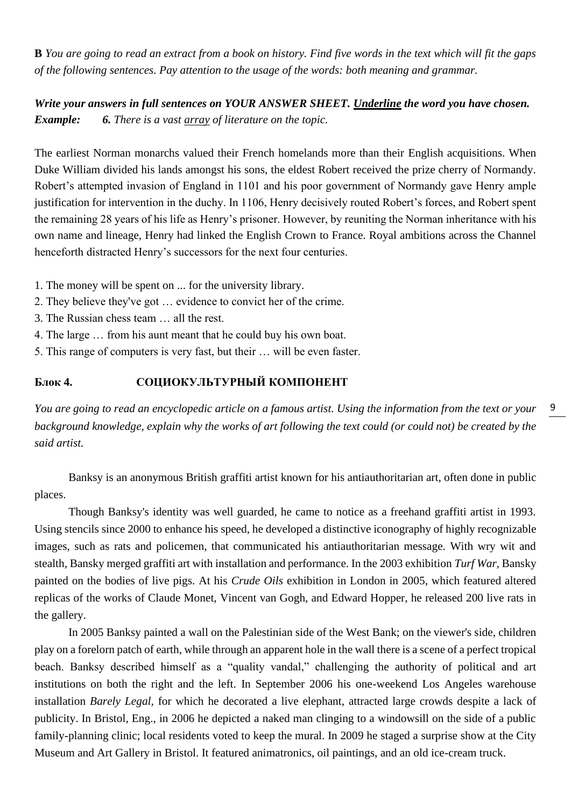**B** *You are going to read an extract from a book on history. Find five words in the text which will fit the gaps of the following sentences. Pay attention to the usage of the words: both meaning and grammar.* 

*Write your answers in full sentences on YOUR ANSWER SHEET. Underline the word you have chosen. Example: 6. There is a vast array of literature on the topic.*

The earliest Norman monarchs valued their French homelands more than their English acquisitions. When Duke William divided his lands amongst his sons, the eldest Robert received the prize cherry of Normandy. Robert's attempted invasion of England in 1101 and his poor government of Normandy gave Henry ample justification for intervention in the duchy. In 1106, Henry decisively routed Robert's forces, and Robert spent the remaining 28 years of his life as Henry's prisoner. However, by reuniting the Norman inheritance with his own name and lineage, Henry had linked the English Crown to France. Royal ambitions across the Channel henceforth distracted Henry's successors for the next four centuries.

- 1. The money will be spent on ... for the university library.
- 2. They believe they've got … evidence to convict her of the crime.
- 3. The Russian chess team … all the rest.
- 4. The large … from his aunt meant that he could buy his own boat.
- 5. This range of computers is very fast, but their … will be even faster.

#### **Блок 4. СОЦИОКУЛЬТУРНЫЙ КОМПОНЕНТ**

9 *You are going to read an encyclopedic article on a famous artist. Using the information from the text or your background knowledge, explain why the works of art following the text could (or could not) be created by the said artist.* 

Banksy is an anonymous British graffiti artist known for his antiauthoritarian art, often done in public places.

Though Banksy's identity was well guarded, he came to notice as a freehand graffiti artist in 1993. Using stencils since 2000 to enhance his speed, he developed a distinctive iconography of highly recognizable images, such as rats and policemen, that communicated his antiauthoritarian message. With wry wit and stealth, Bansky merged graffiti art with installation and performance. In the 2003 exhibition *Turf War,* Bansky painted on the bodies of live pigs. At his *Crude Oils* exhibition in London in 2005, which featured altered replicas of the works of Claude Monet, Vincent van Gogh, and Edward Hopper, he released 200 live rats in the gallery.

In 2005 Banksy painted a wall on the Palestinian side of the West Bank; on the viewer's side, children play on a forelorn patch of earth, while through an apparent hole in the wall there is a scene of a perfect tropical beach. Banksy described himself as a "quality vandal," challenging the authority of political and art institutions on both the right and the left. In September 2006 his one-weekend Los Angeles warehouse installation *Barely Legal,* for which he decorated a live elephant, attracted large crowds despite a lack of publicity. In Bristol, Eng., in 2006 he depicted a naked man clinging to a windowsill on the side of a public family-planning clinic; local residents voted to keep the mural. In 2009 he staged a surprise show at the City Museum and Art Gallery in Bristol. It featured animatronics, oil paintings, and an old ice-cream truck.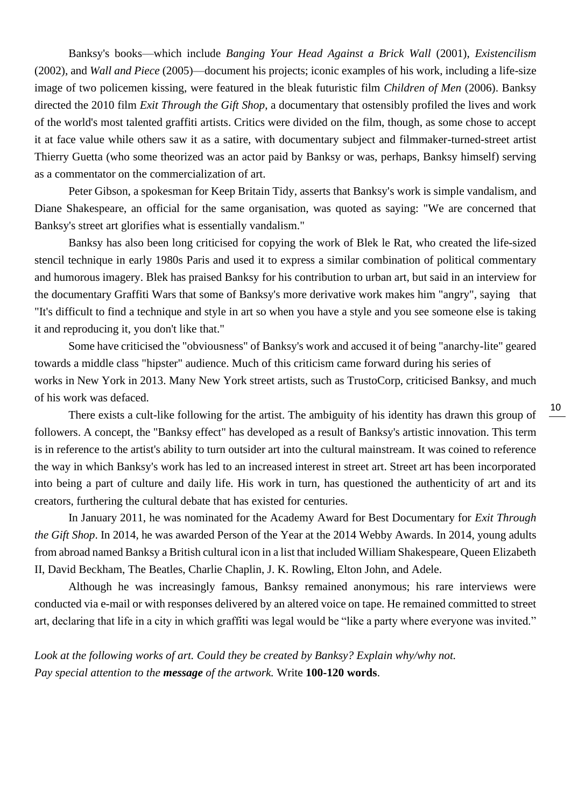Banksy's books—which include *Banging Your Head Against a Brick Wall* (2001), *Existencilism* (2002), and *Wall and Piece* (2005)—document his projects; iconic examples of his work, including a life-size image of two policemen kissing, were featured in the bleak futuristic film *Children of Men* (2006). Banksy directed the 2010 film *Exit Through the Gift Shop*, a documentary that ostensibly profiled the lives and work of the world's most talented graffiti artists. Critics were divided on the film, though, as some chose to accept it at face value while others saw it as a satire, with documentary subject and filmmaker-turned-street artist Thierry Guetta (who some theorized was an actor paid by Banksy or was, perhaps, Banksy himself) serving as a commentator on the commercialization of art.

Peter Gibson, a spokesman for Keep Britain Tidy, asserts that Banksy's work is simple vandalism, and Diane Shakespeare, an official for the same organisation, was quoted as saying: "We are concerned that Banksy's street art glorifies what is essentially vandalism."

Banksy has also been long criticised for copying the work of Blek le Rat, who created the life-sized stencil technique in early 1980s Paris and used it to express a similar combination of political commentary and humorous imagery. Blek has praised Banksy for his contribution to urban art, but said in an interview for the documentary Graffiti Wars that some of Banksy's more derivative work makes him "angry", saying that "It's difficult to find a technique and style in art so when you have a style and you see someone else is taking it and reproducing it, you don't like that."

Some have criticised the "obviousness" of Banksy's work and accused it of being "anarchy-lite" geared towards a middle class "hipster" audience. Much of this criticism came forward during his series of works in New York in 2013. Many New York street artists, such as TrustoCorp, criticised Banksy, and much of his work was defaced.

There exists a cult-like following for the artist. The ambiguity of his identity has drawn this group of followers. A concept, the "Banksy effect" has developed as a result of Banksy's artistic innovation. This term is in reference to the artist's ability to turn outsider art into the cultural mainstream. It was coined to reference the way in which Banksy's work has led to an increased interest in street art. Street art has been incorporated into being a part of culture and daily life. His work in turn, has questioned the authenticity of art and its creators, furthering the cultural debate that has existed for centuries.

In January 2011, he was nominated for the Academy Award for Best Documentary for *Exit Through the Gift Shop*. In 2014, he was awarded Person of the Year at the 2014 Webby Awards. In 2014, young adults from abroad named Banksy a British cultural icon in a list that included William Shakespeare, Queen Elizabeth II, David Beckham, The Beatles, Charlie Chaplin, J. K. Rowling, Elton John, and Adele.

Although he was increasingly famous, Banksy remained anonymous; his rare interviews were conducted via e-mail or with responses delivered by an altered voice on tape. He remained committed to street art, declaring that life in a city in which graffiti was legal would be "like a party where everyone was invited."

*Look at the following works of art. Could they be created by Banksy? Explain why/why not. Pay special attention to the message of the artwork.* Write **100-120 words**.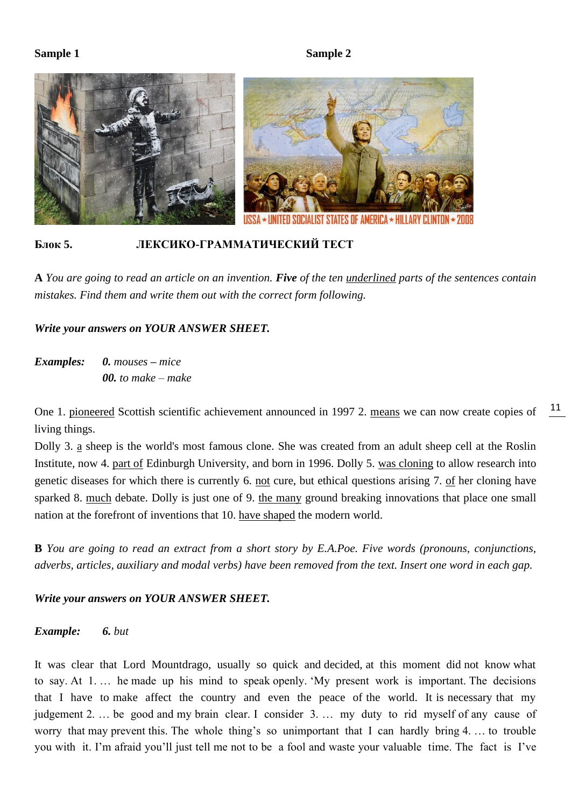#### **Sample 1** Sample 2



## **Блок 5. ЛЕКСИКО-ГРАММАТИЧЕСКИЙ ТЕСТ**

**A** *You are going to read an article on an invention. Five of the ten underlined parts of the sentences contain mistakes. Find them and write them out with the correct form following.*

## *Write your answers on YOUR ANSWER SHEET.*

*Examples: 0. mouses – mice 00. to make – make* 

11 One 1. pioneered Scottish scientific achievement announced in 1997 2. means we can now create copies of living things.

Dolly 3. a sheep is the world's most famous clone. She was created from an adult sheep cell at the Roslin Institute, now 4. part of Edinburgh University, and born in 1996. Dolly 5. was cloning to allow research into genetic diseases for which there is currently 6. not cure, but ethical questions arising 7. of her cloning have sparked 8. much debate. Dolly is just one of 9. the many ground breaking innovations that place one small nation at the forefront of inventions that 10. have shaped the modern world.

**B** *You are going to read an extract from a short story by E.A.Poe. Five words (pronouns, conjunctions, adverbs, articles, auxiliary and modal verbs) have been removed from the text. Insert one word in each gap.*

## *Write your answers on YOUR ANSWER SHEET.*

## *Example: 6. but*

It was clear that Lord Mountdrago, usually so quick and decided, at this moment did not know what to say. At 1. … he made up his mind to speak openly. 'My present work is important. The decisions that I have to make affect the country and even the peace of the world. It is necessary that my judgement 2. … be good and my brain clear. I consider 3. … my duty to rid myself of any cause of worry that may prevent this. The whole thing's so unimportant that I can hardly bring 4. … to trouble you with it. I'm afraid you'll just tell me not to be a fool and waste your valuable time. The fact is I've